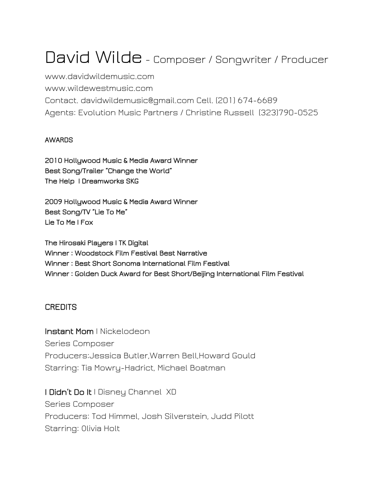# David Wilde - Composer / Songwriter / Producer

www.davidwildemusic.com www.wildewestmusic.com Contact. davidwildemusic@gmail.com Cell. (201) 674-6689 Agents: Evolution Music Partners / Christine Russell (323)790-0525

#### AWARDS

2010 Hollywood Music & Media Award Winner Best Song/Trailer "Change the World" The Help I Dreamworks SKG

2009 Hollywood Music & Media Award Winner Best Song/TV "Lie To Me" Lie To Me | Fox

The Hirosaki Players | TK Digital Winner : Woodstock Film Festival Best Narrative Winner : Best Short Sonoma International Film Festival Winner : Golden Duck Award for Best Short/Beijing International Film Festival

#### **CREDITS**

Instant Mom | Nickelodeon Series Composer Producers:Jessica Butler,Warren Bell,Howard Gould Starring: Tia Mowry-Hadrict, Michael Boatman

I Didn't Do It I Disney Channel XD Series Composer Producers: Tod Himmel, Josh Silverstein, Judd Pilott Starring: Olivia Holt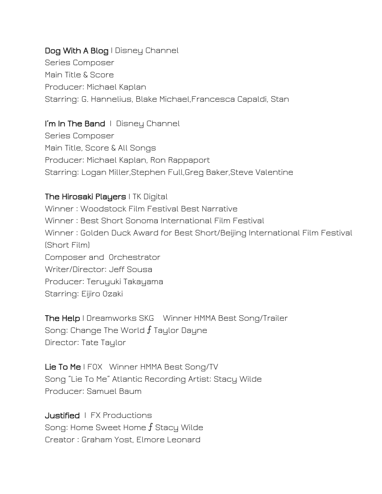### Dog With A Blog I Disney Channel Series Composer Main Title & Score Producer: Michael Kaplan Starring: G. Hannelius, Blake Michael,Francesca Capaldi, Stan

#### I'm In The Band | Disney Channel

Series Composer Main Title, Score & All Songs Producer: Michael Kaplan, Ron Rappaport Starring: Logan Miller,Stephen Full,Greg Baker,Steve Valentine

#### The Hirosaki Players I TK Digital

Winner : Woodstock Film Festival Best Narrative Winner : Best Short Sonoma International Film Festival Winner : Golden Duck Award for Best Short/Beijing International Film Festival (Short Film) Composer and Orchestrator Writer/Director: Jeff Sousa Producer: Teruyuki Takayama Starring: Eijiro Ozaki

The Help| Dreamworks SKG Winner HMMA Best Song/Trailer Song: Change The World  $f$  Taylor Dayne Director: Tate Taylor

Lie To Me I FOX Winner HMMA Best Song/TV Song "Lie To Me" Atlantic Recording Artist: Stacy Wilde Producer: Samuel Baum

Justified | FX Productions Song: Home Sweet Home  $f$  Stacy Wilde Creator : Graham Yost, Elmore Leonard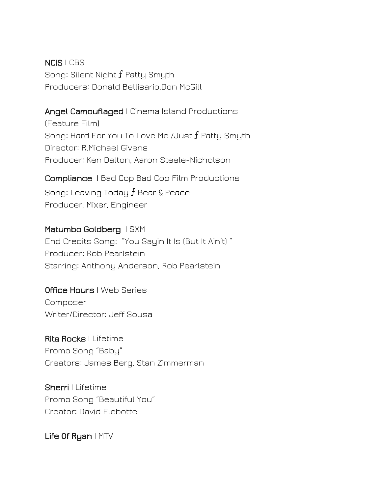NCIS| CBS Song: Silent Night f Patty Smyth Producers: Donald Bellisario,Don McGill

#### Angel Camouflaged | Cinema Island Productions

(Feature Film) Song: Hard For You To Love Me /Just  $f$  Patty Smyth Director: R.Michael Givens Producer: Ken Dalton, Aaron Steele-Nicholson

Compliance | Bad Cop Bad Cop Film Productions

Song: Leaving Today  $f$  Bear & Peace Producer, Mixer, Engineer

#### Matumbo Goldberg ISXM

End Credits Song: "You Sayin It Is (But It Ain't) " Producer: Rob Pearlstein Starring: Anthony Anderson, Rob Pearlstein

#### Office Hours I Web Series

Composer Writer/Director: Jeff Sousa

Rita Rocks | Lifetime Promo Song "Baby" Creators: James Berg, Stan Zimmerman

Sherri | Lifetime Promo Song "Beautiful You" Creator: David Flebotte

Life Of Ryan | MTV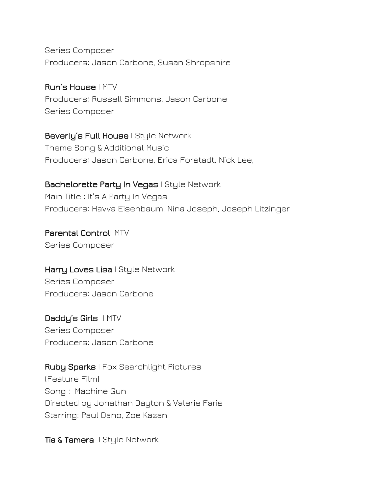Series Composer Producers: Jason Carbone, Susan Shropshire

Run's House | MTV Producers: Russell Simmons, Jason Carbone Series Composer

Beverly's Full House I Style Network Theme Song & Additional Music Producers: Jason Carbone, Erica Forstadt, Nick Lee,

**Bachelorette Party In Vegas | Style Network** Main Title : It's A Party In Vegas Producers: Havva Eisenbaum, Nina Joseph, Joseph Litzinger

Parental Control| MTV Series Composer

Harry Loves Lisa I Style Network Series Composer Producers: Jason Carbone

Daddy's Girls IMTV Series Composer Producers: Jason Carbone

Ruby Sparks | Fox Searchlight Pictures (Feature Film) Song : Machine Gun Directed by Jonathan Dayton & Valerie Faris Starring: Paul Dano, Zoe Kazan

Tia & Tamera | Style Network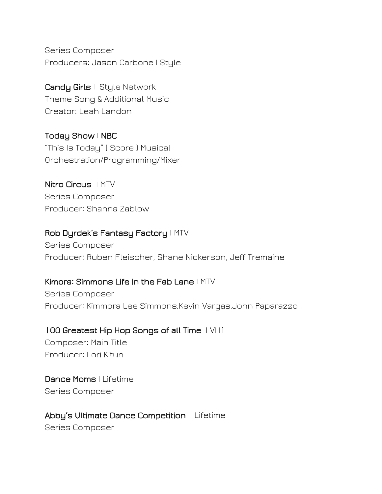Series Composer Producers: Jason Carbone | Style

Candy Girls | Style Network Theme Song & Additional Music Creator: Leah Landon

Today Show | NBC "This Is Today" ( Score ) Musical Orchestration/Programming/Mixer

Nitro Circus | MTV Series Composer Producer: Shanna Zablow

#### Rob Dyrdek's Fantasy Factory | MTV

Series Composer Producer: Ruben Fleischer, Shane Nickerson, Jeff Tremaine

#### Kimora: Simmons Life in the Fab Lane | MTV

Series Composer Producer: Kimmora Lee Simmons,Kevin Vargas,John Paparazzo

100 Greatest Hip Hop Songs of all Time IVH1 Composer: Main Title Producer: Lori Kitun

Dance Moms | Lifetime Series Composer

Abby's Ultimate Dance Competition | Lifetime Series Composer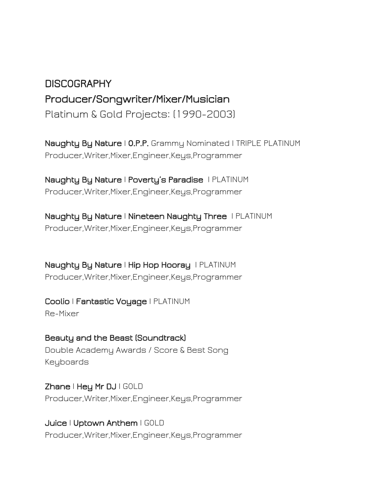# DISCOGRAPHY Producer/Songwriter/Mixer/Musician Platinum & Gold Projects: (1990-2003)

Naughty By Nature | O.P.P. Grammy Nominated | TRIPLE PLATINUM Producer,Writer,Mixer,Engineer,Keys,Programmer

Naughty By Nature | Poverty's Paradise | PLATINUM Producer,Writer,Mixer,Engineer,Keys,Programmer

Naughty By Nature | Nineteen Naughty Three | PLATINUM Producer,Writer,Mixer,Engineer,Keys,Programmer

Naughty By Nature | Hip Hop Hooray | PLATINUM Producer,Writer,Mixer,Engineer,Keys,Programmer

Coolio | Fantastic Voyage | PLATINUM Re-Mixer

Beauty and the Beast (Soundtrack) Double Academy Awards / Score & Best Song Keyboards

Zhane | Hey Mr DJ | GOLD Producer,Writer,Mixer,Engineer,Keys,Programmer

Juice | Uptown Anthem | GOLD Producer,Writer,Mixer,Engineer,Keys,Programmer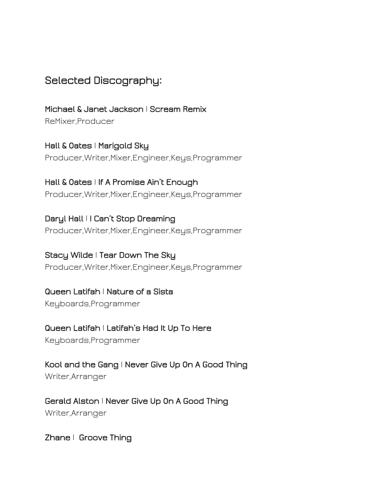## Selected Discography:

Michael & Janet Jackson | Scream Remix ReMixer,Producer

Hall & Oates | Marigold Sky Producer,Writer,Mixer,Engineer,Keys,Programmer

Hall & Oates | If A Promise Ain't Enough Producer,Writer,Mixer,Engineer,Keys,Programmer

Daryl Hall | I Can't Stop Dreaming Producer,Writer,Mixer,Engineer,Keys,Programmer

Stacy Wilde | Tear Down The Sky Producer,Writer,Mixer,Engineer,Keys,Programmer

Queen Latifah | Nature of a Sista

Keyboards,Programmer

Queen Latifah | Latifah's Had It Up To Here

Keyboards,Programmer

Kool and the Gang | Never Give Up On A Good Thing Writer,Arranger

Gerald Alston| Never Give Up On A Good Thing Writer,Arranger

Zhane | Groove Thing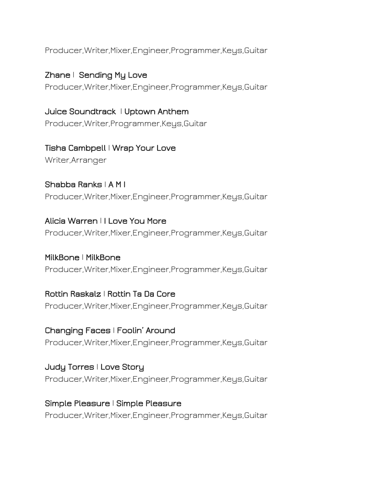Producer,Writer,Mixer,Engineer,Programmer,Keys,Guitar

Zhane | Sending My Love Producer,Writer,Mixer,Engineer,Programmer,Keys,Guitar

Juice Soundtrack | Uptown Anthem Producer,Writer,Programmer,Keys,Guitar

Tisha Cambpell | Wrap Your Love Writer,Arranger

Shabba Ranks| A M I Producer,Writer,Mixer,Engineer,Programmer,Keys,Guitar

Alicia Warren | I Love You More Producer,Writer,Mixer,Engineer,Programmer,Keys,Guitar

MilkBone| MilkBone Producer,Writer,Mixer,Engineer,Programmer,Keys,Guitar

Rottin Raskalz | Rottin Ta Da Core Producer,Writer,Mixer,Engineer,Programmer,Keys,Guitar

Changing Faces | Foolin' Around Producer,Writer,Mixer,Engineer,Programmer,Keys,Guitar

Judy Torres | Love Story Producer,Writer,Mixer,Engineer,Programmer,Keys,Guitar

Simple Pleasure | Simple Pleasure Producer,Writer,Mixer,Engineer,Programmer,Keys,Guitar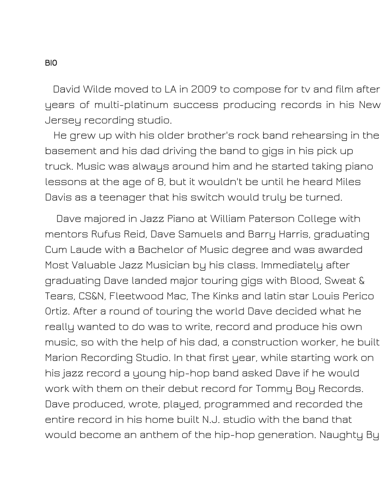David Wilde moved to LA in 2009 to compose for tv and film after years of multi-platinum success producing records in his New Jersey recording studio.

He grew up with his older brother's rock band rehearsing in the basement and his dad driving the band to gigs in his pick up truck. Music was always around him and he started taking piano lessons at the age of 8, but it wouldn't be until he heard Miles Davis as a teenager that his switch would truly be turned.

Dave majored in Jazz Piano at William Paterson College with mentors Rufus Reid, Dave Samuels and Barry Harris, graduating Cum Laude with a Bachelor of Music degree and was awarded Most Valuable Jazz Musician by his class. Immediately after graduating Dave landed major touring gigs with Blood, Sweat & Tears, CS&N, Fleetwood Mac, The Kinks and latin star Louis Perico Ortiz. After a round of touring the world Dave decided what he really wanted to do was to write, record and produce his own music, so with the help of his dad, a construction worker, he built Marion Recording Studio. In that first year, while starting work on his jazz record a young hip-hop band asked Dave if he would work with them on their debut record for Tommy Boy Records. Dave produced, wrote, played, programmed and recorded the entire record in his home built N.J. studio with the band that would become an anthem of the hip-hop generation. Naughty By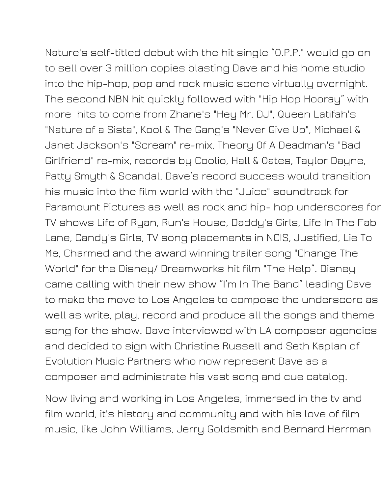Nature's self-titled debut with the hit single "O.P.P." would go on to sell over 3 million copies blasting Dave and his home studio into the hip-hop, pop and rock music scene virtually overnight. The second NBN hit quickly followed with "Hip Hop Hooray" with more hits to come from Zhane's "Hey Mr. DJ", Queen Latifah's "Nature of a Sista", Kool & The Gang's "Never Give Up", Michael & Janet Jackson's "Scream" re-mix, Theory Of A Deadman's "Bad Girlfriend" re-mix, records by Coolio, Hall & Oates, Taylor Dayne, Patty Smyth & Scandal. Dave's record success would transition his music into the film world with the "Juice" soundtrack for Paramount Pictures as well as rock and hip- hop underscores for TV shows Life of Ryan, Run's House, Daddy's Girls, Life In The Fab Lane, Candy's Girls, TV song placements in NCIS, Justified, Lie To Me, Charmed and the award winning trailer song "Change The World" for the Disney/ Dreamworks hit film "The Help". Disney came calling with their new show "I'm In The Band" leading Dave to make the move to Los Angeles to compose the underscore as well as write, play, record and produce all the songs and theme song for the show. Dave interviewed with LA composer agencies

and decided to sign with Christine Russell and Seth Kaplan of Evolution Music Partners who now represent Dave as a composer and administrate his vast song and cue catalog.

Now living and working in Los Angeles, immersed in the tv and film world, it's history and community and with his love of film music, like John Williams, Jerry Goldsmith and Bernard Herrman